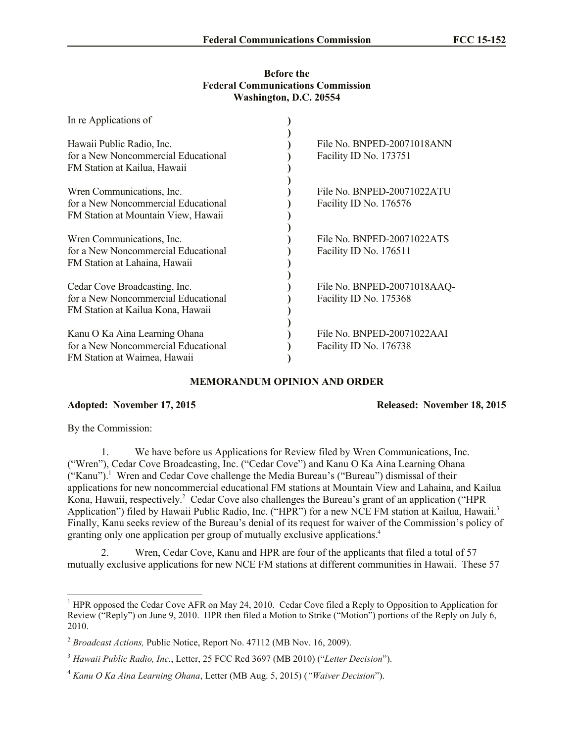## **Before the Federal Communications Commission Washington, D.C. 20554**

| In re Applications of                                                                                     |                                                       |
|-----------------------------------------------------------------------------------------------------------|-------------------------------------------------------|
| Hawaii Public Radio, Inc.<br>for a New Noncommercial Educational<br>FM Station at Kailua, Hawaii          | File No. BNPED-20071018ANN<br>Facility ID No. 173751  |
| Wren Communications, Inc.<br>for a New Noncommercial Educational<br>FM Station at Mountain View, Hawaii   | File No. BNPED-20071022ATU<br>Facility ID No. 176576  |
| Wren Communications, Inc.<br>for a New Noncommercial Educational<br>FM Station at Lahaina, Hawaii         | File No. BNPED-20071022ATS<br>Facility ID No. 176511  |
| Cedar Cove Broadcasting, Inc.<br>for a New Noncommercial Educational<br>FM Station at Kailua Kona, Hawaii | File No. BNPED-20071018AAQ-<br>Facility ID No. 175368 |
| Kanu O Ka Aina Learning Ohana<br>for a New Noncommercial Educational<br>FM Station at Waimea, Hawaii      | File No. BNPED-20071022AAI<br>Facility ID No. 176738  |

## **MEMORANDUM OPINION AND ORDER**

**Adopted: November 17, 2015 Released: November 18, 2015**

By the Commission:

 $\overline{a}$ 

1. We have before us Applications for Review filed by Wren Communications, Inc. ("Wren"), Cedar Cove Broadcasting, Inc. ("Cedar Cove") and Kanu O Ka Aina Learning Ohana ("Kanu"). 1 Wren and Cedar Cove challenge the Media Bureau's ("Bureau") dismissal of their applications for new noncommercial educational FM stations at Mountain View and Lahaina, and Kailua Kona, Hawaii, respectively.<sup>2</sup> Cedar Cove also challenges the Bureau's grant of an application ("HPR Application") filed by Hawaii Public Radio, Inc. ("HPR") for a new NCE FM station at Kailua, Hawaii.<sup>3</sup> Finally, Kanu seeks review of the Bureau's denial of its request for waiver of the Commission's policy of granting only one application per group of mutually exclusive applications.<sup>4</sup>

2. Wren, Cedar Cove, Kanu and HPR are four of the applicants that filed a total of 57 mutually exclusive applications for new NCE FM stations at different communities in Hawaii. These 57

<sup>&</sup>lt;sup>1</sup> HPR opposed the Cedar Cove AFR on May 24, 2010. Cedar Cove filed a Reply to Opposition to Application for Review ("Reply") on June 9, 2010. HPR then filed a Motion to Strike ("Motion") portions of the Reply on July 6, 2010.

<sup>2</sup> *Broadcast Actions,* Public Notice, Report No. 47112 (MB Nov. 16, 2009).

<sup>3</sup> *Hawaii Public Radio, Inc.*, Letter, 25 FCC Rcd 3697 (MB 2010) ("*Letter Decision*").

<sup>4</sup> *Kanu O Ka Aina Learning Ohana*, Letter (MB Aug. 5, 2015) (*"Waiver Decision*").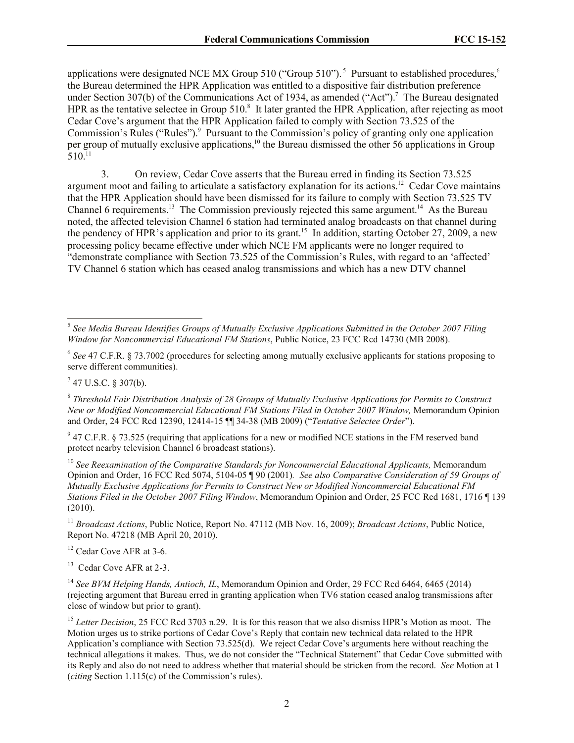applications were designated NCE MX Group 510 ("Group 510").<sup>5</sup> Pursuant to established procedures,<sup>6</sup> the Bureau determined the HPR Application was entitled to a dispositive fair distribution preference under Section 307(b) of the Communications Act of 1934, as amended ("Act").<sup>7</sup> The Bureau designated HPR as the tentative selectee in Group 510.<sup>8</sup> It later granted the HPR Application, after rejecting as moot Cedar Cove's argument that the HPR Application failed to comply with Section 73.525 of the Commission's Rules ("Rules").<sup>9</sup> Pursuant to the Commission's policy of granting only one application per group of mutually exclusive applications,<sup>10</sup> the Bureau dismissed the other 56 applications in Group  $510^{11}$ 

3. On review, Cedar Cove asserts that the Bureau erred in finding its Section 73.525 argument moot and failing to articulate a satisfactory explanation for its actions.<sup>12</sup> Cedar Cove maintains that the HPR Application should have been dismissed for its failure to comply with Section 73.525 TV Channel 6 requirements.<sup>13</sup> The Commission previously rejected this same argument.<sup>14</sup> As the Bureau noted, the affected television Channel 6 station had terminated analog broadcasts on that channel during the pendency of HPR's application and prior to its grant.<sup>15</sup> In addition, starting October 27, 2009, a new processing policy became effective under which NCE FM applicants were no longer required to "demonstrate compliance with Section 73.525 of the Commission's Rules, with regard to an 'affected' TV Channel 6 station which has ceased analog transmissions and which has a new DTV channel

 $7$  47 U.S.C. § 307(b).

 $9$  47 C.F.R. § 73.525 (requiring that applications for a new or modified NCE stations in the FM reserved band protect nearby television Channel 6 broadcast stations).

<sup>10</sup> See Reexamination of the Comparative Standards for Noncommercial Educational Applicants, Memorandum Opinion and Order, 16 FCC Rcd 5074, 5104-05 ¶ 90 (2001)*. See also Comparative Consideration of 59 Groups of Mutually Exclusive Applications for Permits to Construct New or Modified Noncommercial Educational FM Stations Filed in the October 2007 Filing Window*, Memorandum Opinion and Order, 25 FCC Rcd 1681, 1716 ¶ 139  $(2010).$ 

<sup>11</sup> *Broadcast Actions*, Public Notice, Report No. 47112 (MB Nov. 16, 2009); *Broadcast Actions*, Public Notice, Report No. 47218 (MB April 20, 2010).

<sup>12</sup> Cedar Cove AFR at 3-6.

<sup>13</sup> Cedar Cove AFR at 2-3.

<sup>14</sup> See BVM Helping Hands, Antioch, IL, Memorandum Opinion and Order, 29 FCC Rcd 6464, 6465 (2014) (rejecting argument that Bureau erred in granting application when TV6 station ceased analog transmissions after close of window but prior to grant).

 5 *See Media Bureau Identifies Groups of Mutually Exclusive Applications Submitted in the October 2007 Filing Window for Noncommercial Educational FM Stations*, Public Notice, 23 FCC Rcd 14730 (MB 2008).

<sup>&</sup>lt;sup>6</sup> See 47 C.F.R. § 73.7002 (procedures for selecting among mutually exclusive applicants for stations proposing to serve different communities).

<sup>8</sup> *Threshold Fair Distribution Analysis of 28 Groups of Mutually Exclusive Applications for Permits to Construct New or Modified Noncommercial Educational FM Stations Filed in October 2007 Window,* Memorandum Opinion and Order, 24 FCC Rcd 12390, 12414-15 ¶¶ 34-38 (MB 2009) ("*Tentative Selectee Order*").

<sup>&</sup>lt;sup>15</sup> Letter Decision, 25 FCC Rcd 3703 n.29. It is for this reason that we also dismiss HPR's Motion as moot. The Motion urges us to strike portions of Cedar Cove's Reply that contain new technical data related to the HPR Application's compliance with Section 73.525(d). We reject Cedar Cove's arguments here without reaching the technical allegations it makes. Thus, we do not consider the "Technical Statement" that Cedar Cove submitted with its Reply and also do not need to address whether that material should be stricken from the record. *See* Motion at 1 (*citing* Section 1.115(c) of the Commission's rules).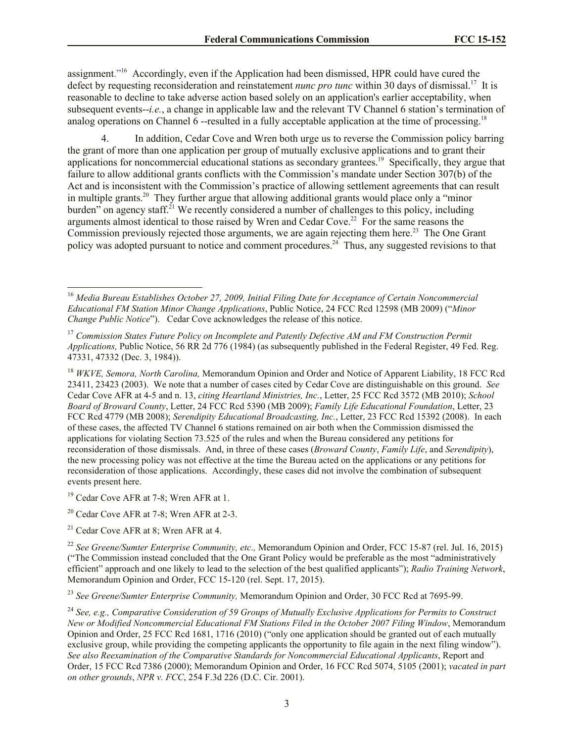assignment."<sup>16</sup> Accordingly, even if the Application had been dismissed, HPR could have cured the defect by requesting reconsideration and reinstatement *nunc pro tunc* within 30 days of dismissal.<sup>17</sup> It is reasonable to decline to take adverse action based solely on an application's earlier acceptability, when subsequent events--*i.e.*, a change in applicable law and the relevant TV Channel 6 station's termination of analog operations on Channel 6 --resulted in a fully acceptable application at the time of processing.<sup>18</sup>

4. In addition, Cedar Cove and Wren both urge us to reverse the Commission policy barring the grant of more than one application per group of mutually exclusive applications and to grant their applications for noncommercial educational stations as secondary grantees.<sup>19</sup> Specifically, they argue that failure to allow additional grants conflicts with the Commission's mandate under Section 307(b) of the Act and is inconsistent with the Commission's practice of allowing settlement agreements that can result in multiple grants.<sup>20</sup> They further argue that allowing additional grants would place only a "minor burden" on agency staff.<sup>21</sup> We recently considered a number of challenges to this policy, including arguments almost identical to those raised by Wren and Cedar Cove.<sup>22</sup> For the same reasons the Commission previously rejected those arguments, we are again rejecting them here.<sup>23</sup> The One Grant policy was adopted pursuant to notice and comment procedures.<sup>24</sup> Thus, any suggested revisions to that

<sup>18</sup> *WKVE, Semora, North Carolina,* Memorandum Opinion and Order and Notice of Apparent Liability, 18 FCC Rcd 23411, 23423 (2003). We note that a number of cases cited by Cedar Cove are distinguishable on this ground. *See*  Cedar Cove AFR at 4-5 and n. 13, *citing Heartland Ministries, Inc.*, Letter, 25 FCC Rcd 3572 (MB 2010); *School Board of Broward County*, Letter, 24 FCC Rcd 5390 (MB 2009); *Family Life Educational Foundation*, Letter, 23 FCC Rcd 4779 (MB 2008); *Serendipity Educational Broadcasting, Inc.*, Letter, 23 FCC Rcd 15392 (2008). In each of these cases, the affected TV Channel 6 stations remained on air both when the Commission dismissed the applications for violating Section 73.525 of the rules and when the Bureau considered any petitions for reconsideration of those dismissals. And, in three of these cases (*Broward County*, *Family Life*, and *Serendipity*), the new processing policy was not effective at the time the Bureau acted on the applications or any petitions for reconsideration of those applications. Accordingly, these cases did not involve the combination of subsequent events present here.

<sup>19</sup> Cedar Cove AFR at 7-8; Wren AFR at 1.

l

<sup>20</sup> Cedar Cove AFR at 7-8; Wren AFR at 2-3.

<sup>21</sup> Cedar Cove AFR at 8; Wren AFR at 4.

<sup>22</sup> See Greene/Sumter Enterprise Community, etc., Memorandum Opinion and Order, FCC 15-87 (rel. Jul. 16, 2015) ("The Commission instead concluded that the One Grant Policy would be preferable as the most "administratively efficient" approach and one likely to lead to the selection of the best qualified applicants"); *Radio Training Network*, Memorandum Opinion and Order, FCC 15-120 (rel. Sept. 17, 2015).

<sup>23</sup> *See Greene/Sumter Enterprise Community,* Memorandum Opinion and Order, 30 FCC Rcd at 7695-99.

<sup>16</sup> *Media Bureau Establishes October 27, 2009, Initial Filing Date for Acceptance of Certain Noncommercial Educational FM Station Minor Change Applications*, Public Notice, 24 FCC Rcd 12598 (MB 2009) ("*Minor Change Public Notice*"). Cedar Cove acknowledges the release of this notice.

<sup>17</sup> *Commission States Future Policy on Incomplete and Patently Defective AM and FM Construction Permit Applications,* Public Notice, 56 RR 2d 776 (1984) (as subsequently published in the Federal Register, 49 Fed. Reg. 47331, 47332 (Dec. 3, 1984)).

<sup>24</sup> *See, e.g., Comparative Consideration of 59 Groups of Mutually Exclusive Applications for Permits to Construct New or Modified Noncommercial Educational FM Stations Filed in the October 2007 Filing Window*, Memorandum Opinion and Order, 25 FCC Rcd 1681, 1716 (2010) ("only one application should be granted out of each mutually exclusive group, while providing the competing applicants the opportunity to file again in the next filing window"). *See also Reexamination of the Comparative Standards for Noncommercial Educational Applicants*, Report and Order, 15 FCC Rcd 7386 (2000); Memorandum Opinion and Order, 16 FCC Rcd 5074, 5105 (2001); *vacated in part on other grounds*, *NPR v. FCC*, 254 F.3d 226 (D.C. Cir. 2001).